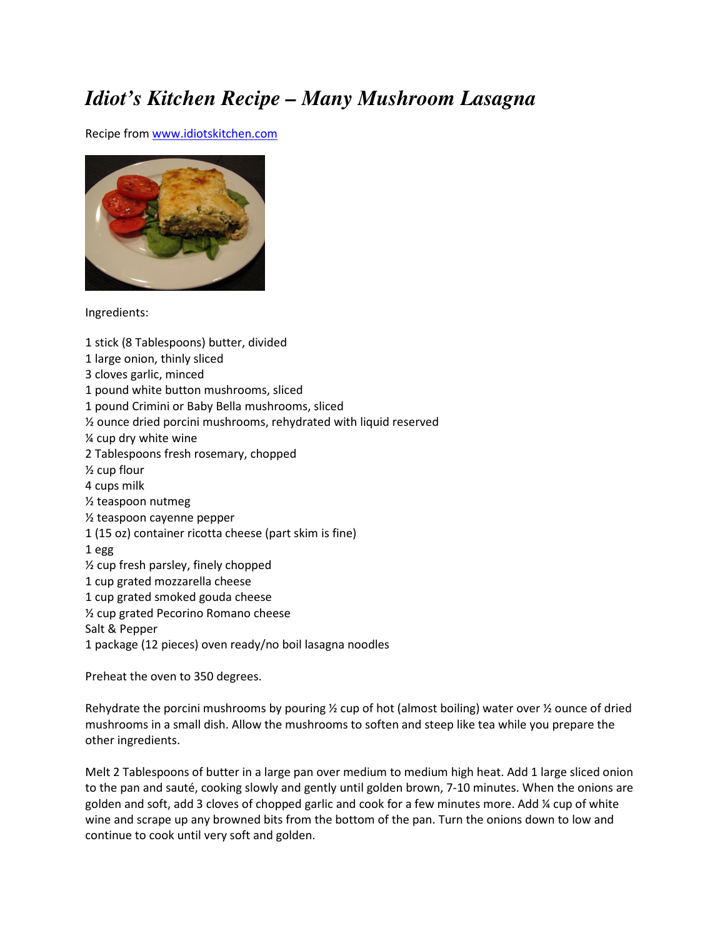## *Idiot's Kitchen Recipe – Many Mushroom Lasagna*

Recipe from www.idiotskitchen.com



Ingredients:

1 stick (8 Tablespoons) butter, divided 1 large onion, thinly sliced 3 cloves garlic, minced 1 pound white button mushrooms, sliced 1 pound Crimini or Baby Bella mushrooms, sliced ½ ounce dried porcini mushrooms, rehydrated with liquid reserved ¼ cup dry white wine 2 Tablespoons fresh rosemary, chopped ½ cup flour 4 cups milk ½ teaspoon nutmeg ½ teaspoon cayenne pepper 1 (15 oz) container ricotta cheese (part skim is fine) 1 egg ½ cup fresh parsley, finely chopped 1 cup grated mozzarella cheese 1 cup grated smoked gouda cheese ½ cup grated Pecorino Romano cheese Salt & Pepper 1 package (12 pieces) oven ready/no boil lasagna noodles Preheat the oven to 350 degrees.

Rehydrate the porcini mushrooms by pouring  $\frac{1}{2}$  cup of hot (almost boiling) water over  $\frac{1}{2}$  ounce of dried mushrooms in a small dish. Allow the mushrooms to soften and steep like tea while you prepare the other ingredients.

Melt 2 Tablespoons of butter in a large pan over medium to medium high heat. Add 1 large sliced onion to the pan and sauté, cooking slowly and gently until golden brown, 7-10 minutes. When the onions are golden and soft, add 3 cloves of chopped garlic and cook for a few minutes more. Add ¼ cup of white wine and scrape up any browned bits from the bottom of the pan. Turn the onions down to low and continue to cook until very soft and golden.